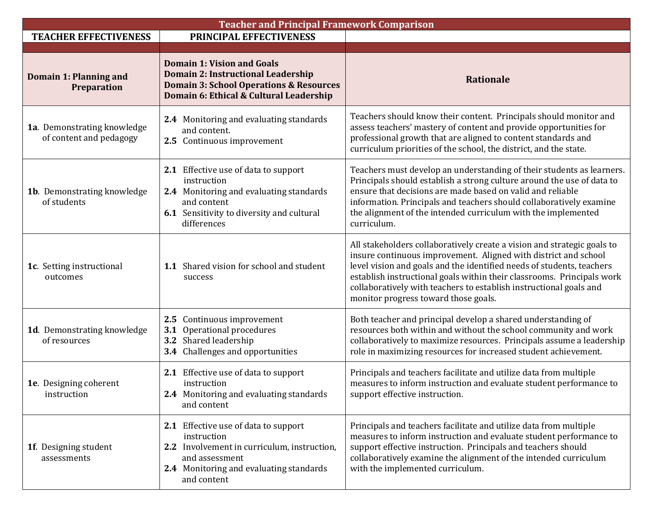| <b>Teacher and Principal Framework Comparison</b>      |                                                                                                                                                                                 |                                                                                                                                                                                                                                                                                                                                                                                                             |  |  |
|--------------------------------------------------------|---------------------------------------------------------------------------------------------------------------------------------------------------------------------------------|-------------------------------------------------------------------------------------------------------------------------------------------------------------------------------------------------------------------------------------------------------------------------------------------------------------------------------------------------------------------------------------------------------------|--|--|
| <b>TEACHER EFFECTIVENESS</b>                           | PRINCIPAL EFFECTIVENESS                                                                                                                                                         |                                                                                                                                                                                                                                                                                                                                                                                                             |  |  |
| <b>Domain 1: Planning and</b><br>Preparation           | <b>Domain 1: Vision and Goals</b><br><b>Domain 2: Instructional Leadership</b><br><b>Domain 3: School Operations &amp; Resources</b><br>Domain 6: Ethical & Cultural Leadership | <b>Rationale</b>                                                                                                                                                                                                                                                                                                                                                                                            |  |  |
| 1a. Demonstrating knowledge<br>of content and pedagogy | 2.4 Monitoring and evaluating standards<br>and content.<br>2.5 Continuous improvement                                                                                           | Teachers should know their content. Principals should monitor and<br>assess teachers' mastery of content and provide opportunities for<br>professional growth that are aligned to content standards and<br>curriculum priorities of the school, the district, and the state.                                                                                                                                |  |  |
| 1b. Demonstrating knowledge<br>of students             | 2.1 Effective use of data to support<br>instruction<br>2.4 Monitoring and evaluating standards<br>and content<br>6.1 Sensitivity to diversity and cultural<br>differences       | Teachers must develop an understanding of their students as learners.<br>Principals should establish a strong culture around the use of data to<br>ensure that decisions are made based on valid and reliable<br>information. Principals and teachers should collaboratively examine<br>the alignment of the intended curriculum with the implemented<br>curriculum.                                        |  |  |
| 1c. Setting instructional<br>outcomes                  | 1.1 Shared vision for school and student<br>success                                                                                                                             | All stakeholders collaboratively create a vision and strategic goals to<br>insure continuous improvement. Aligned with district and school<br>level vision and goals and the identified needs of students, teachers<br>establish instructional goals within their classrooms. Principals work<br>collaboratively with teachers to establish instructional goals and<br>monitor progress toward those goals. |  |  |
| 1d. Demonstrating knowledge<br>of resources            | 2.5 Continuous improvement<br>Operational procedures<br>3.1<br>3.2 Shared leadership<br>3.4 Challenges and opportunities                                                        | Both teacher and principal develop a shared understanding of<br>resources both within and without the school community and work<br>collaboratively to maximize resources. Principals assume a leadership<br>role in maximizing resources for increased student achievement.                                                                                                                                 |  |  |
| 1e. Designing coherent<br>instruction                  | 2.1 Effective use of data to support<br>instruction<br>2.4 Monitoring and evaluating standards<br>and content                                                                   | Principals and teachers facilitate and utilize data from multiple<br>measures to inform instruction and evaluate student performance to<br>support effective instruction.                                                                                                                                                                                                                                   |  |  |
| 1f. Designing student<br>assessments                   | 2.1 Effective use of data to support<br>instruction<br>2.2 Involvement in curriculum, instruction,<br>and assessment<br>2.4 Monitoring and evaluating standards<br>and content  | Principals and teachers facilitate and utilize data from multiple<br>measures to inform instruction and evaluate student performance to<br>support effective instruction. Principals and teachers should<br>collaboratively examine the alignment of the intended curriculum<br>with the implemented curriculum.                                                                                            |  |  |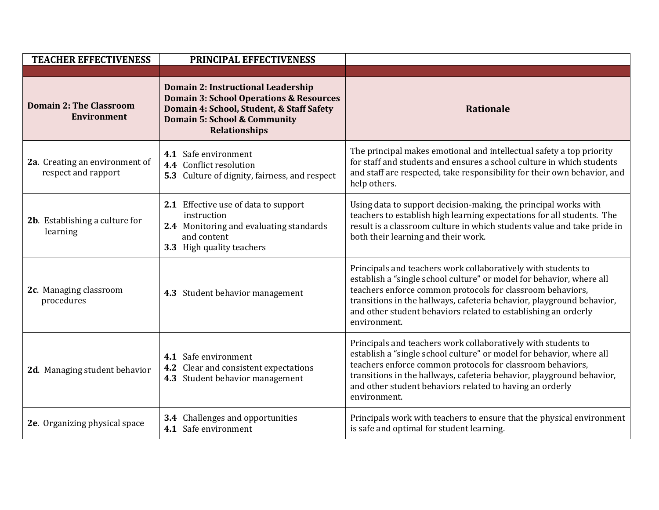| <b>TEACHER EFFECTIVENESS</b>                          | PRINCIPAL EFFECTIVENESS                                                                                                                                                                                         |                                                                                                                                                                                                                                                                                                                                                                |
|-------------------------------------------------------|-----------------------------------------------------------------------------------------------------------------------------------------------------------------------------------------------------------------|----------------------------------------------------------------------------------------------------------------------------------------------------------------------------------------------------------------------------------------------------------------------------------------------------------------------------------------------------------------|
|                                                       |                                                                                                                                                                                                                 |                                                                                                                                                                                                                                                                                                                                                                |
| <b>Domain 2: The Classroom</b><br><b>Environment</b>  | <b>Domain 2: Instructional Leadership</b><br><b>Domain 3: School Operations &amp; Resources</b><br>Domain 4: School, Student, & Staff Safety<br><b>Domain 5: School &amp; Community</b><br><b>Relationships</b> | <b>Rationale</b>                                                                                                                                                                                                                                                                                                                                               |
| 2a. Creating an environment of<br>respect and rapport | 4.1 Safe environment<br>4.4 Conflict resolution<br>5.3 Culture of dignity, fairness, and respect                                                                                                                | The principal makes emotional and intellectual safety a top priority<br>for staff and students and ensures a school culture in which students<br>and staff are respected, take responsibility for their own behavior, and<br>help others.                                                                                                                      |
| 2b. Establishing a culture for<br>learning            | 2.1 Effective use of data to support<br>instruction<br>2.4 Monitoring and evaluating standards<br>and content<br>3.3 High quality teachers                                                                      | Using data to support decision-making, the principal works with<br>teachers to establish high learning expectations for all students. The<br>result is a classroom culture in which students value and take pride in<br>both their learning and their work.                                                                                                    |
| 2c. Managing classroom<br>procedures                  | 4.3 Student behavior management                                                                                                                                                                                 | Principals and teachers work collaboratively with students to<br>establish a "single school culture" or model for behavior, where all<br>teachers enforce common protocols for classroom behaviors,<br>transitions in the hallways, cafeteria behavior, playground behavior,<br>and other student behaviors related to establishing an orderly<br>environment. |
| 2d. Managing student behavior                         | 4.1 Safe environment<br>4.2 Clear and consistent expectations<br>4.3 Student behavior management                                                                                                                | Principals and teachers work collaboratively with students to<br>establish a "single school culture" or model for behavior, where all<br>teachers enforce common protocols for classroom behaviors,<br>transitions in the hallways, cafeteria behavior, playground behavior,<br>and other student behaviors related to having an orderly<br>environment.       |
| 2e. Organizing physical space                         | 3.4 Challenges and opportunities<br>4.1 Safe environment                                                                                                                                                        | Principals work with teachers to ensure that the physical environment<br>is safe and optimal for student learning.                                                                                                                                                                                                                                             |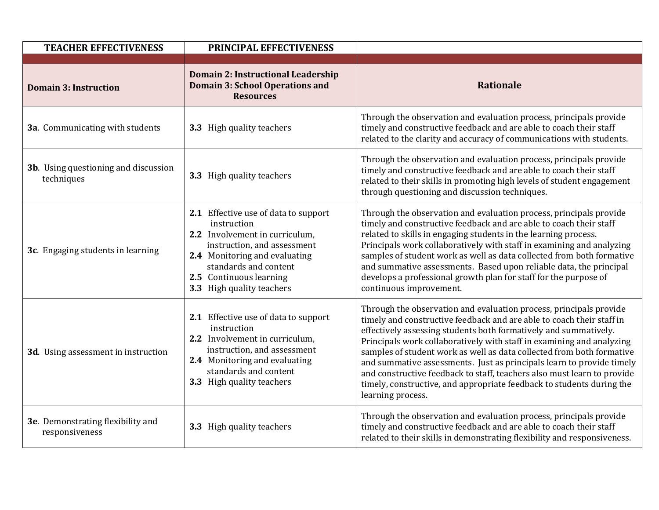| <b>TEACHER EFFECTIVENESS</b>                        | PRINCIPAL EFFECTIVENESS                                                                                                                                                                                                                |                                                                                                                                                                                                                                                                                                                                                                                                                                                                                                                                                                                                                     |
|-----------------------------------------------------|----------------------------------------------------------------------------------------------------------------------------------------------------------------------------------------------------------------------------------------|---------------------------------------------------------------------------------------------------------------------------------------------------------------------------------------------------------------------------------------------------------------------------------------------------------------------------------------------------------------------------------------------------------------------------------------------------------------------------------------------------------------------------------------------------------------------------------------------------------------------|
| <b>Domain 3: Instruction</b>                        | Domain 2: Instructional Leadership<br><b>Domain 3: School Operations and</b><br><b>Resources</b>                                                                                                                                       | Rationale                                                                                                                                                                                                                                                                                                                                                                                                                                                                                                                                                                                                           |
| 3a. Communicating with students                     | 3.3 High quality teachers                                                                                                                                                                                                              | Through the observation and evaluation process, principals provide<br>timely and constructive feedback and are able to coach their staff<br>related to the clarity and accuracy of communications with students.                                                                                                                                                                                                                                                                                                                                                                                                    |
| 3b. Using questioning and discussion<br>techniques  | 3.3 High quality teachers                                                                                                                                                                                                              | Through the observation and evaluation process, principals provide<br>timely and constructive feedback and are able to coach their staff<br>related to their skills in promoting high levels of student engagement<br>through questioning and discussion techniques.                                                                                                                                                                                                                                                                                                                                                |
| 3c. Engaging students in learning                   | 2.1 Effective use of data to support<br>instruction<br>2.2 Involvement in curriculum,<br>instruction, and assessment<br>2.4 Monitoring and evaluating<br>standards and content<br>2.5 Continuous learning<br>3.3 High quality teachers | Through the observation and evaluation process, principals provide<br>timely and constructive feedback and are able to coach their staff<br>related to skills in engaging students in the learning process.<br>Principals work collaboratively with staff in examining and analyzing<br>samples of student work as well as data collected from both formative<br>and summative assessments. Based upon reliable data, the principal<br>develops a professional growth plan for staff for the purpose of<br>continuous improvement.                                                                                  |
| 3d. Using assessment in instruction                 | 2.1 Effective use of data to support<br>instruction<br>2.2 Involvement in curriculum,<br>instruction, and assessment<br>2.4 Monitoring and evaluating<br>standards and content<br>3.3 High quality teachers                            | Through the observation and evaluation process, principals provide<br>timely and constructive feedback and are able to coach their staff in<br>effectively assessing students both formatively and summatively.<br>Principals work collaboratively with staff in examining and analyzing<br>samples of student work as well as data collected from both formative<br>and summative assessments. Just as principals learn to provide timely<br>and constructive feedback to staff, teachers also must learn to provide<br>timely, constructive, and appropriate feedback to students during the<br>learning process. |
| 3e. Demonstrating flexibility and<br>responsiveness | 3.3 High quality teachers                                                                                                                                                                                                              | Through the observation and evaluation process, principals provide<br>timely and constructive feedback and are able to coach their staff<br>related to their skills in demonstrating flexibility and responsiveness.                                                                                                                                                                                                                                                                                                                                                                                                |